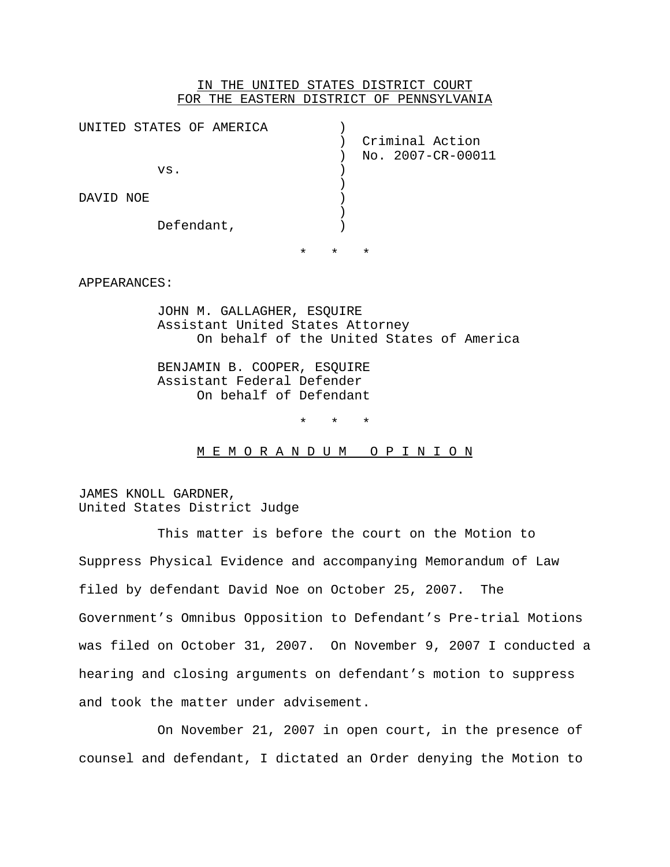## IN THE UNITED STATES DISTRICT COURT FOR THE EASTERN DISTRICT OF PENNSYLVANIA

|           | UNITED STATES OF AMERICA |         |         |                   |
|-----------|--------------------------|---------|---------|-------------------|
|           |                          |         |         | Criminal Action   |
|           |                          |         |         | No. 2007-CR-00011 |
|           | VS.                      |         |         |                   |
|           |                          |         |         |                   |
|           |                          |         |         |                   |
| DAVID NOE |                          |         |         |                   |
|           |                          |         |         |                   |
|           | Defendant,               |         |         |                   |
|           |                          |         |         |                   |
|           |                          | $\star$ | $\star$ | $\star$           |
|           |                          |         |         |                   |

#### APPEARANCES:

JOHN M. GALLAGHER, ESQUIRE Assistant United States Attorney On behalf of the United States of America

BENJAMIN B. COOPER, ESQUIRE Assistant Federal Defender On behalf of Defendant

\* \* \*

M E M O R A N D U M O P I N I O N

JAMES KNOLL GARDNER, United States District Judge

This matter is before the court on the Motion to Suppress Physical Evidence and accompanying Memorandum of Law filed by defendant David Noe on October 25, 2007. The Government's Omnibus Opposition to Defendant's Pre-trial Motions was filed on October 31, 2007. On November 9, 2007 I conducted a hearing and closing arguments on defendant's motion to suppress and took the matter under advisement.

On November 21, 2007 in open court, in the presence of counsel and defendant, I dictated an Order denying the Motion to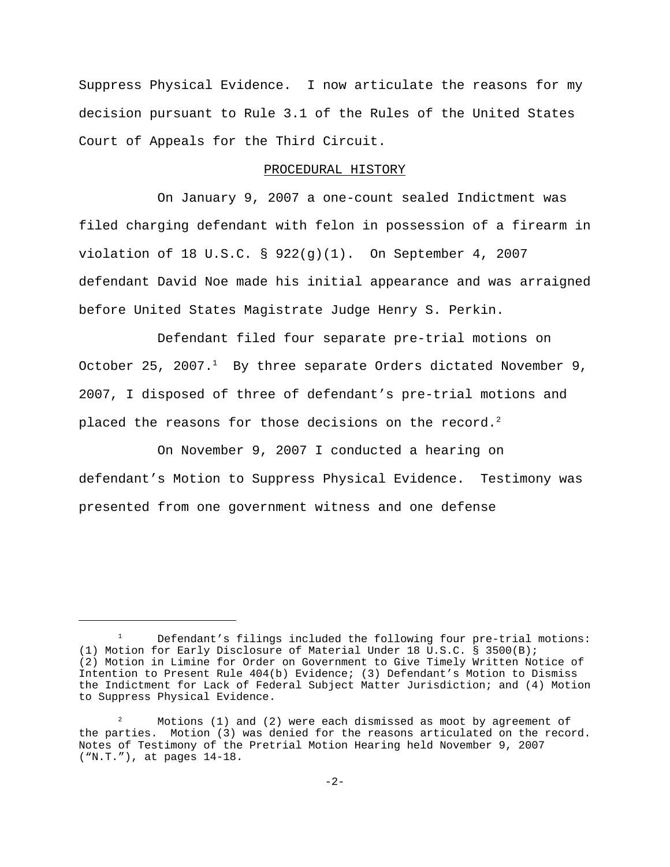Suppress Physical Evidence. I now articulate the reasons for my decision pursuant to Rule 3.1 of the Rules of the United States Court of Appeals for the Third Circuit.

### PROCEDURAL HISTORY

On January 9, 2007 a one-count sealed Indictment was filed charging defendant with felon in possession of a firearm in violation of 18 U.S.C. § 922(g)(1). On September 4, 2007 defendant David Noe made his initial appearance and was arraigned before United States Magistrate Judge Henry S. Perkin.

Defendant filed four separate pre-trial motions on October 25, 2007. $<sup>1</sup>$  By three separate Orders dictated November 9,</sup> 2007, I disposed of three of defendant's pre-trial motions and placed the reasons for those decisions on the record.<sup>2</sup>

On November 9, 2007 I conducted a hearing on defendant's Motion to Suppress Physical Evidence. Testimony was presented from one government witness and one defense

Defendant's filings included the following four pre-trial motions: (1) Motion for Early Disclosure of Material Under 18 U.S.C. § 3500(B); (2) Motion in Limine for Order on Government to Give Timely Written Notice of Intention to Present Rule 404(b) Evidence; (3) Defendant's Motion to Dismiss the Indictment for Lack of Federal Subject Matter Jurisdiction; and (4) Motion to Suppress Physical Evidence.

 $2^2$  Motions (1) and (2) were each dismissed as moot by agreement of the parties. Motion (3) was denied for the reasons articulated on the record. Notes of Testimony of the Pretrial Motion Hearing held November 9, 2007 ("N.T."), at pages 14-18.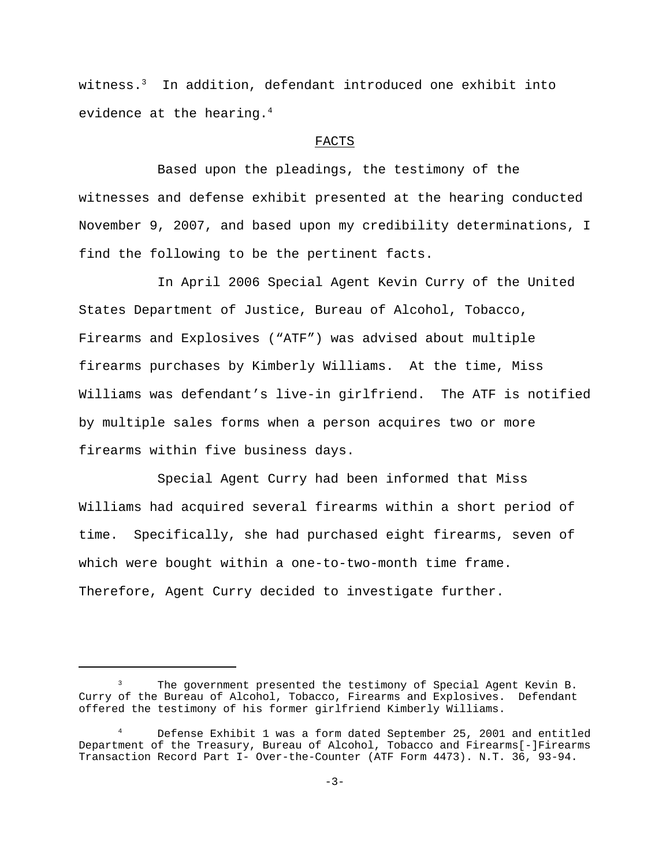witness.<sup>3</sup> In addition, defendant introduced one exhibit into evidence at the hearing.<sup>4</sup>

## FACTS

Based upon the pleadings, the testimony of the witnesses and defense exhibit presented at the hearing conducted November 9, 2007, and based upon my credibility determinations, I find the following to be the pertinent facts.

In April 2006 Special Agent Kevin Curry of the United States Department of Justice, Bureau of Alcohol, Tobacco, Firearms and Explosives ("ATF") was advised about multiple firearms purchases by Kimberly Williams. At the time, Miss Williams was defendant's live-in girlfriend. The ATF is notified by multiple sales forms when a person acquires two or more firearms within five business days.

Special Agent Curry had been informed that Miss Williams had acquired several firearms within a short period of time. Specifically, she had purchased eight firearms, seven of which were bought within a one-to-two-month time frame. Therefore, Agent Curry decided to investigate further.

The government presented the testimony of Special Agent Kevin B. Curry of the Bureau of Alcohol, Tobacco, Firearms and Explosives. Defendant offered the testimony of his former girlfriend Kimberly Williams.

Defense Exhibit 1 was a form dated September 25, 2001 and entitled Department of the Treasury, Bureau of Alcohol, Tobacco and Firearms[-]Firearms Transaction Record Part I- Over-the-Counter (ATF Form 4473). N.T. 36, 93-94.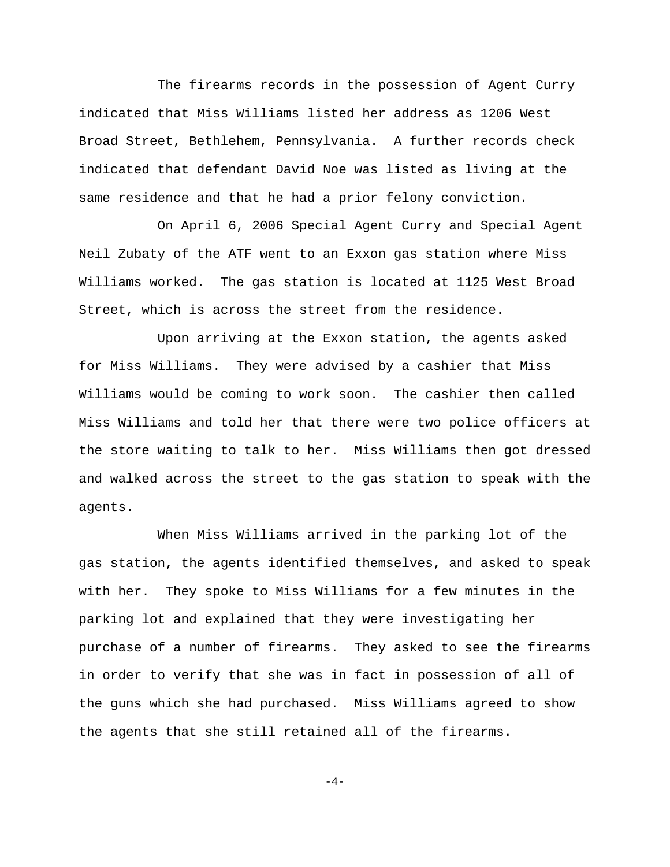The firearms records in the possession of Agent Curry indicated that Miss Williams listed her address as 1206 West Broad Street, Bethlehem, Pennsylvania. A further records check indicated that defendant David Noe was listed as living at the same residence and that he had a prior felony conviction.

On April 6, 2006 Special Agent Curry and Special Agent Neil Zubaty of the ATF went to an Exxon gas station where Miss Williams worked. The gas station is located at 1125 West Broad Street, which is across the street from the residence.

Upon arriving at the Exxon station, the agents asked for Miss Williams. They were advised by a cashier that Miss Williams would be coming to work soon. The cashier then called Miss Williams and told her that there were two police officers at the store waiting to talk to her. Miss Williams then got dressed and walked across the street to the gas station to speak with the agents.

When Miss Williams arrived in the parking lot of the gas station, the agents identified themselves, and asked to speak with her. They spoke to Miss Williams for a few minutes in the parking lot and explained that they were investigating her purchase of a number of firearms. They asked to see the firearms in order to verify that she was in fact in possession of all of the guns which she had purchased. Miss Williams agreed to show the agents that she still retained all of the firearms.

 $-4-$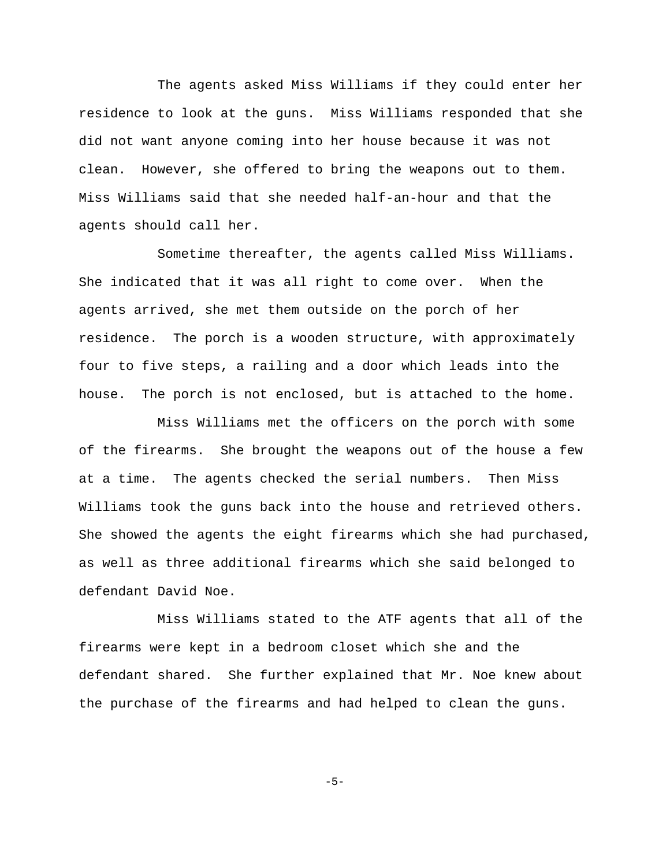The agents asked Miss Williams if they could enter her residence to look at the guns. Miss Williams responded that she did not want anyone coming into her house because it was not clean. However, she offered to bring the weapons out to them. Miss Williams said that she needed half-an-hour and that the agents should call her.

Sometime thereafter, the agents called Miss Williams. She indicated that it was all right to come over. When the agents arrived, she met them outside on the porch of her residence. The porch is a wooden structure, with approximately four to five steps, a railing and a door which leads into the house. The porch is not enclosed, but is attached to the home.

Miss Williams met the officers on the porch with some of the firearms. She brought the weapons out of the house a few at a time. The agents checked the serial numbers. Then Miss Williams took the guns back into the house and retrieved others. She showed the agents the eight firearms which she had purchased, as well as three additional firearms which she said belonged to defendant David Noe.

Miss Williams stated to the ATF agents that all of the firearms were kept in a bedroom closet which she and the defendant shared. She further explained that Mr. Noe knew about the purchase of the firearms and had helped to clean the guns.

-5-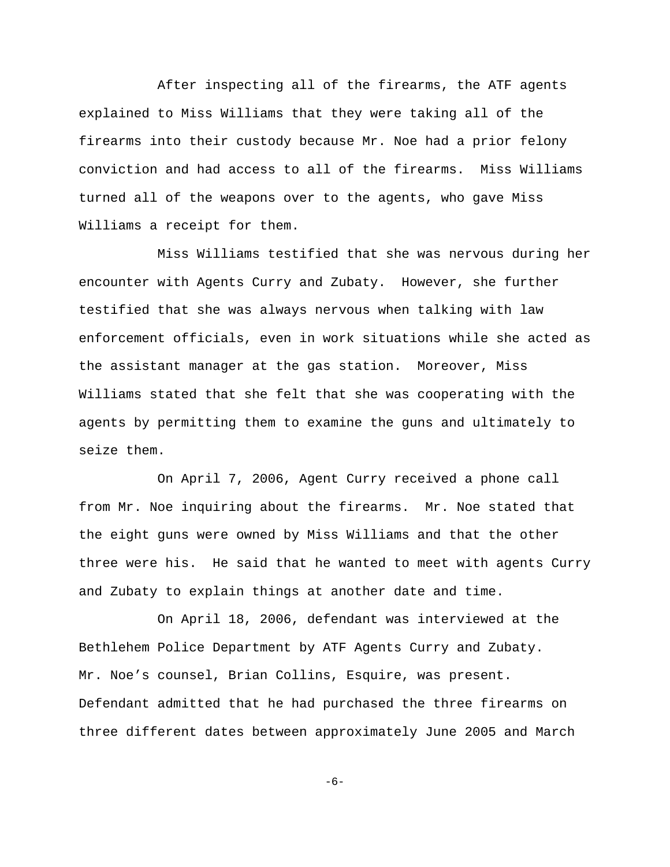After inspecting all of the firearms, the ATF agents explained to Miss Williams that they were taking all of the firearms into their custody because Mr. Noe had a prior felony conviction and had access to all of the firearms. Miss Williams turned all of the weapons over to the agents, who gave Miss Williams a receipt for them.

Miss Williams testified that she was nervous during her encounter with Agents Curry and Zubaty. However, she further testified that she was always nervous when talking with law enforcement officials, even in work situations while she acted as the assistant manager at the gas station. Moreover, Miss Williams stated that she felt that she was cooperating with the agents by permitting them to examine the guns and ultimately to seize them.

On April 7, 2006, Agent Curry received a phone call from Mr. Noe inquiring about the firearms. Mr. Noe stated that the eight guns were owned by Miss Williams and that the other three were his. He said that he wanted to meet with agents Curry and Zubaty to explain things at another date and time.

On April 18, 2006, defendant was interviewed at the Bethlehem Police Department by ATF Agents Curry and Zubaty. Mr. Noe's counsel, Brian Collins, Esquire, was present. Defendant admitted that he had purchased the three firearms on three different dates between approximately June 2005 and March

-6-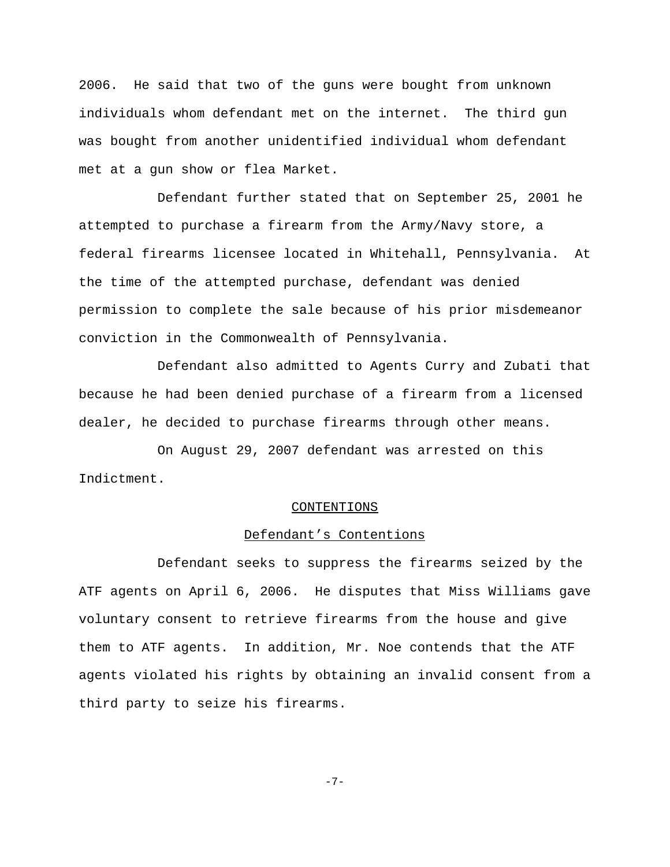2006. He said that two of the guns were bought from unknown individuals whom defendant met on the internet. The third gun was bought from another unidentified individual whom defendant met at a gun show or flea Market.

Defendant further stated that on September 25, 2001 he attempted to purchase a firearm from the Army/Navy store, a federal firearms licensee located in Whitehall, Pennsylvania. At the time of the attempted purchase, defendant was denied permission to complete the sale because of his prior misdemeanor conviction in the Commonwealth of Pennsylvania.

Defendant also admitted to Agents Curry and Zubati that because he had been denied purchase of a firearm from a licensed dealer, he decided to purchase firearms through other means.

On August 29, 2007 defendant was arrested on this Indictment.

## CONTENTIONS

# Defendant's Contentions

Defendant seeks to suppress the firearms seized by the ATF agents on April 6, 2006. He disputes that Miss Williams gave voluntary consent to retrieve firearms from the house and give them to ATF agents. In addition, Mr. Noe contends that the ATF agents violated his rights by obtaining an invalid consent from a third party to seize his firearms.

-7-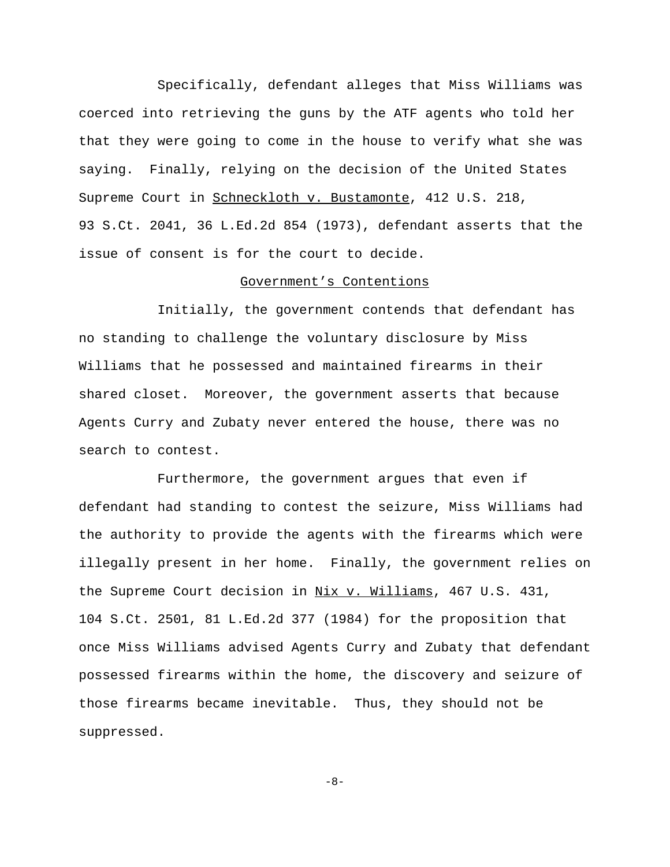Specifically, defendant alleges that Miss Williams was coerced into retrieving the guns by the ATF agents who told her that they were going to come in the house to verify what she was saying. Finally, relying on the decision of the United States Supreme Court in Schneckloth v. Bustamonte, 412 U.S. 218, 93 S.Ct. 2041, 36 L.Ed.2d 854 (1973), defendant asserts that the issue of consent is for the court to decide.

### Government's Contentions

Initially, the government contends that defendant has no standing to challenge the voluntary disclosure by Miss Williams that he possessed and maintained firearms in their shared closet. Moreover, the government asserts that because Agents Curry and Zubaty never entered the house, there was no search to contest.

Furthermore, the government argues that even if defendant had standing to contest the seizure, Miss Williams had the authority to provide the agents with the firearms which were illegally present in her home. Finally, the government relies on the Supreme Court decision in Nix v. Williams, 467 U.S. 431, 104 S.Ct. 2501, 81 L.Ed.2d 377 (1984) for the proposition that once Miss Williams advised Agents Curry and Zubaty that defendant possessed firearms within the home, the discovery and seizure of those firearms became inevitable. Thus, they should not be suppressed.

 $-8-$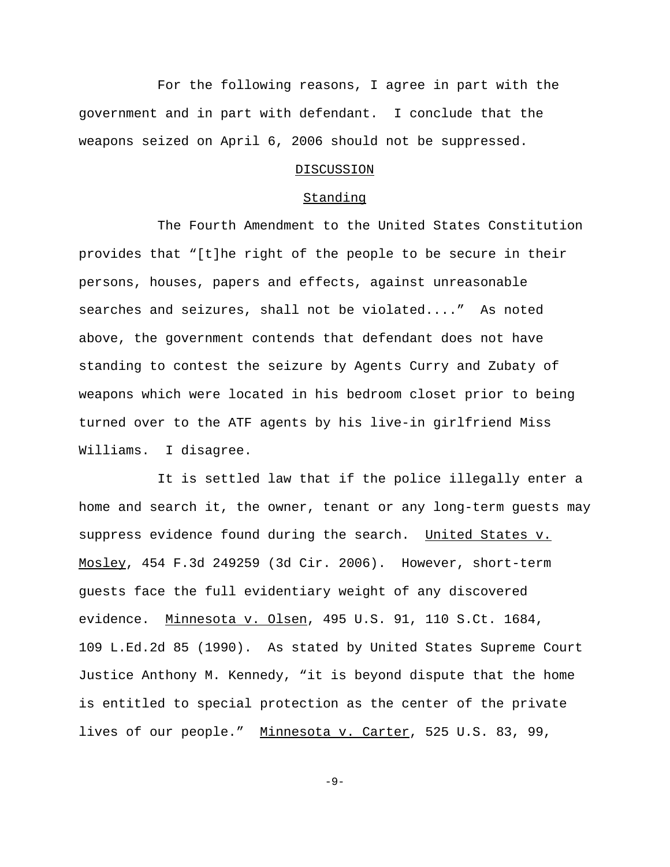For the following reasons, I agree in part with the government and in part with defendant. I conclude that the weapons seized on April 6, 2006 should not be suppressed.

## DISCUSSION

#### Standing

The Fourth Amendment to the United States Constitution provides that "[t]he right of the people to be secure in their persons, houses, papers and effects, against unreasonable searches and seizures, shall not be violated...." As noted above, the government contends that defendant does not have standing to contest the seizure by Agents Curry and Zubaty of weapons which were located in his bedroom closet prior to being turned over to the ATF agents by his live-in girlfriend Miss Williams. I disagree.

It is settled law that if the police illegally enter a home and search it, the owner, tenant or any long-term guests may suppress evidence found during the search. United States v. Mosley, 454 F.3d 249259 (3d Cir. 2006). However, short-term guests face the full evidentiary weight of any discovered evidence. Minnesota v. Olsen, 495 U.S. 91, 110 S.Ct. 1684, 109 L.Ed.2d 85 (1990). As stated by United States Supreme Court Justice Anthony M. Kennedy, "it is beyond dispute that the home is entitled to special protection as the center of the private lives of our people." Minnesota v. Carter, 525 U.S. 83, 99,

-9-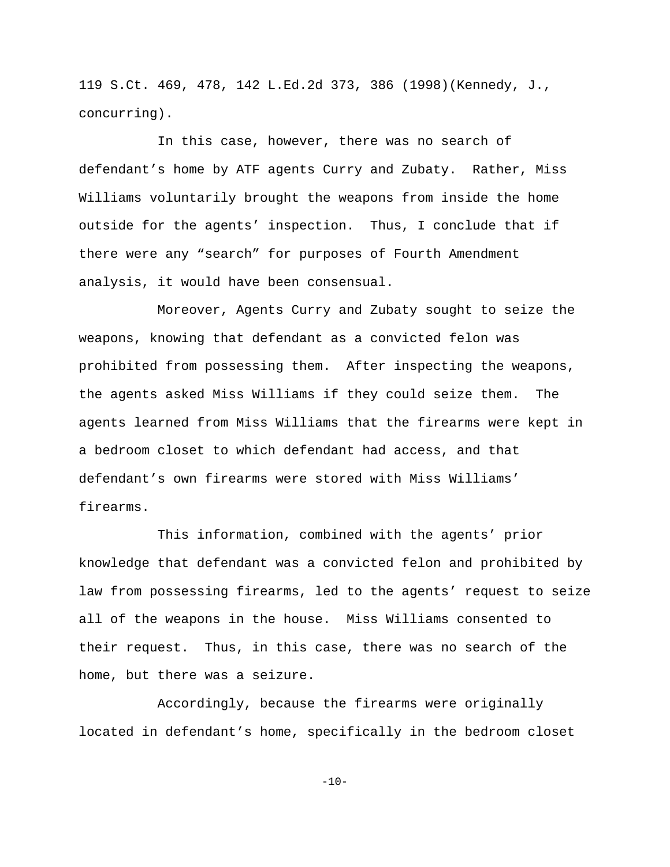119 S.Ct. 469, 478, 142 L.Ed.2d 373, 386 (1998)(Kennedy, J., concurring).

In this case, however, there was no search of defendant's home by ATF agents Curry and Zubaty. Rather, Miss Williams voluntarily brought the weapons from inside the home outside for the agents' inspection. Thus, I conclude that if there were any "search" for purposes of Fourth Amendment analysis, it would have been consensual.

Moreover, Agents Curry and Zubaty sought to seize the weapons, knowing that defendant as a convicted felon was prohibited from possessing them. After inspecting the weapons, the agents asked Miss Williams if they could seize them. The agents learned from Miss Williams that the firearms were kept in a bedroom closet to which defendant had access, and that defendant's own firearms were stored with Miss Williams' firearms.

This information, combined with the agents' prior knowledge that defendant was a convicted felon and prohibited by law from possessing firearms, led to the agents' request to seize all of the weapons in the house. Miss Williams consented to their request. Thus, in this case, there was no search of the home, but there was a seizure.

Accordingly, because the firearms were originally located in defendant's home, specifically in the bedroom closet

 $-10-$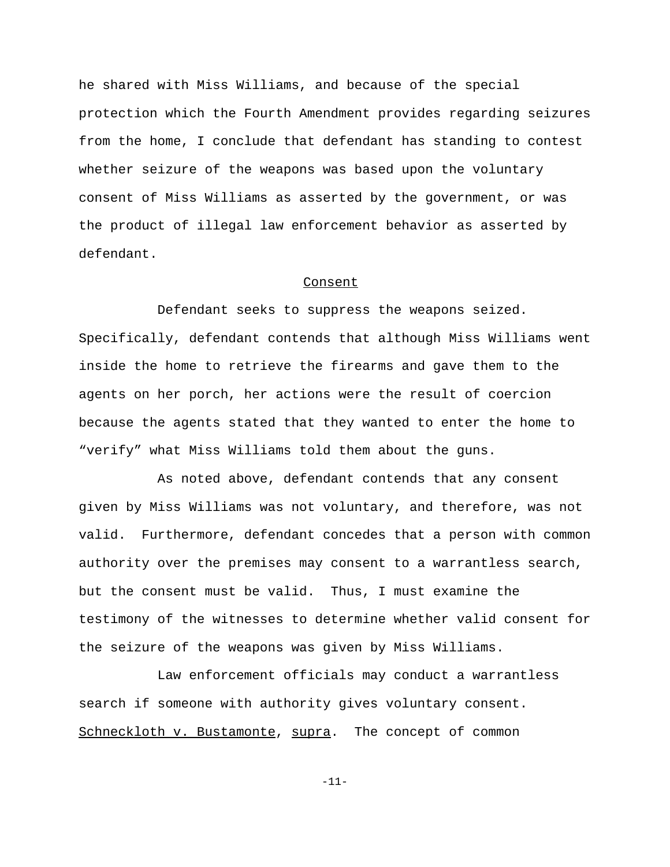he shared with Miss Williams, and because of the special protection which the Fourth Amendment provides regarding seizures from the home, I conclude that defendant has standing to contest whether seizure of the weapons was based upon the voluntary consent of Miss Williams as asserted by the government, or was the product of illegal law enforcement behavior as asserted by defendant.

#### Consent

Defendant seeks to suppress the weapons seized. Specifically, defendant contends that although Miss Williams went inside the home to retrieve the firearms and gave them to the agents on her porch, her actions were the result of coercion because the agents stated that they wanted to enter the home to "verify" what Miss Williams told them about the guns.

As noted above, defendant contends that any consent given by Miss Williams was not voluntary, and therefore, was not valid. Furthermore, defendant concedes that a person with common authority over the premises may consent to a warrantless search, but the consent must be valid. Thus, I must examine the testimony of the witnesses to determine whether valid consent for the seizure of the weapons was given by Miss Williams.

Law enforcement officials may conduct a warrantless search if someone with authority gives voluntary consent. Schneckloth v. Bustamonte, supra. The concept of common

-11-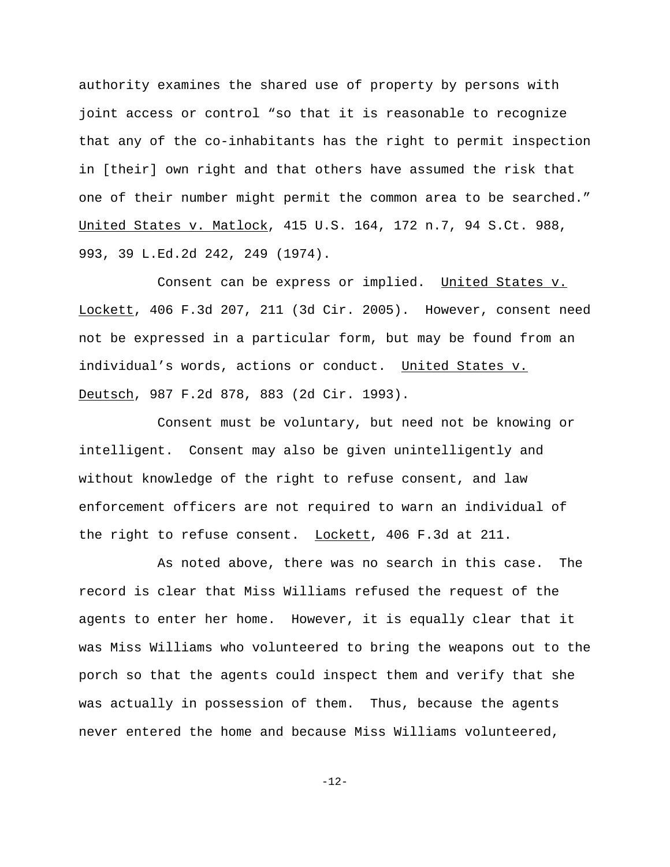authority examines the shared use of property by persons with joint access or control "so that it is reasonable to recognize that any of the co-inhabitants has the right to permit inspection in [their] own right and that others have assumed the risk that one of their number might permit the common area to be searched." United States v. Matlock, 415 U.S. 164, 172 n.7, 94 S.Ct. 988, 993, 39 L.Ed.2d 242, 249 (1974).

Consent can be express or implied. United States v. Lockett, 406 F.3d 207, 211 (3d Cir. 2005). However, consent need not be expressed in a particular form, but may be found from an individual's words, actions or conduct. United States v. Deutsch, 987 F.2d 878, 883 (2d Cir. 1993).

Consent must be voluntary, but need not be knowing or intelligent. Consent may also be given unintelligently and without knowledge of the right to refuse consent, and law enforcement officers are not required to warn an individual of the right to refuse consent. Lockett, 406 F.3d at 211.

As noted above, there was no search in this case. The record is clear that Miss Williams refused the request of the agents to enter her home. However, it is equally clear that it was Miss Williams who volunteered to bring the weapons out to the porch so that the agents could inspect them and verify that she was actually in possession of them. Thus, because the agents never entered the home and because Miss Williams volunteered,

-12-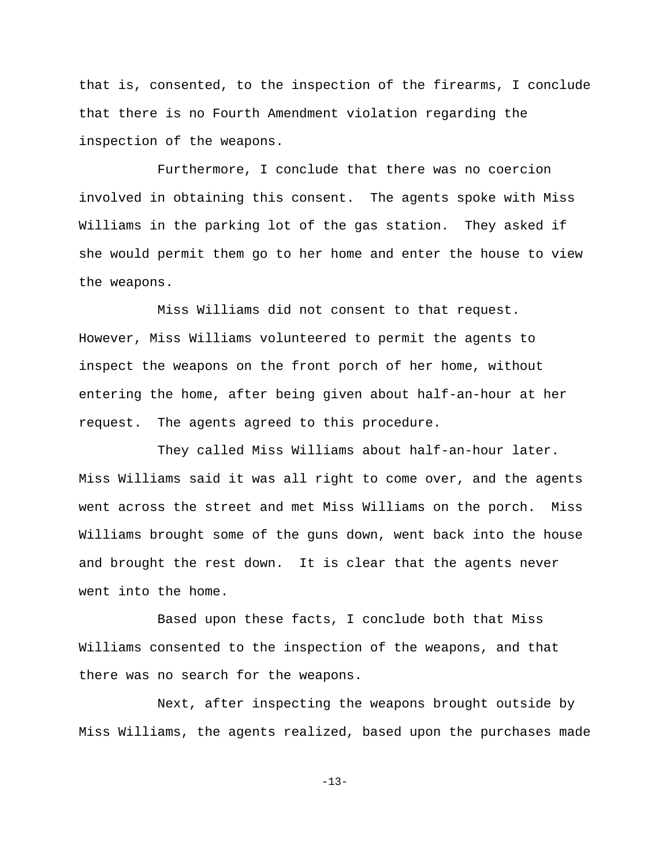that is, consented, to the inspection of the firearms, I conclude that there is no Fourth Amendment violation regarding the inspection of the weapons.

Furthermore, I conclude that there was no coercion involved in obtaining this consent. The agents spoke with Miss Williams in the parking lot of the gas station. They asked if she would permit them go to her home and enter the house to view the weapons.

Miss Williams did not consent to that request. However, Miss Williams volunteered to permit the agents to inspect the weapons on the front porch of her home, without entering the home, after being given about half-an-hour at her request. The agents agreed to this procedure.

They called Miss Williams about half-an-hour later. Miss Williams said it was all right to come over, and the agents went across the street and met Miss Williams on the porch. Miss Williams brought some of the guns down, went back into the house and brought the rest down. It is clear that the agents never went into the home.

Based upon these facts, I conclude both that Miss Williams consented to the inspection of the weapons, and that there was no search for the weapons.

Next, after inspecting the weapons brought outside by Miss Williams, the agents realized, based upon the purchases made

-13-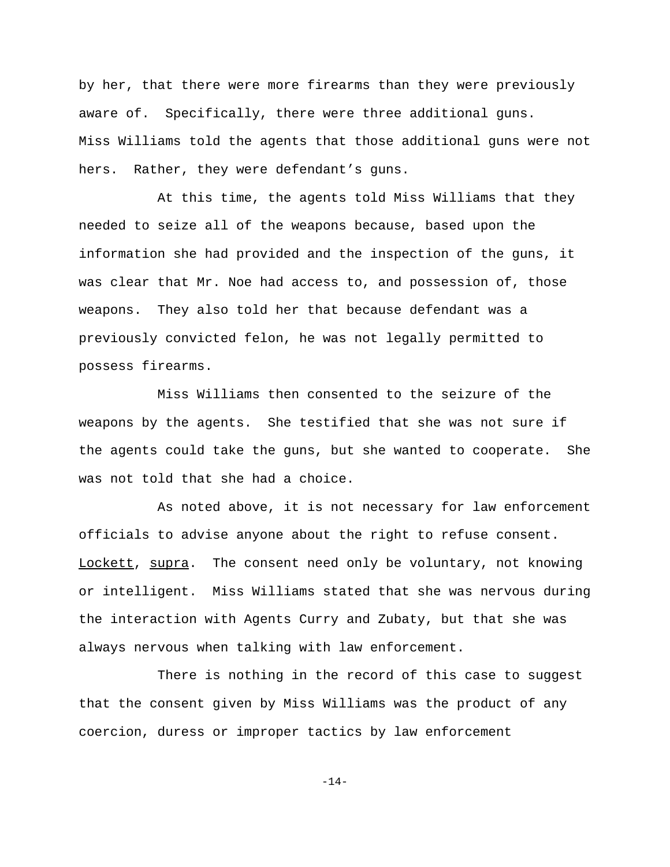by her, that there were more firearms than they were previously aware of. Specifically, there were three additional guns. Miss Williams told the agents that those additional guns were not hers. Rather, they were defendant's guns.

At this time, the agents told Miss Williams that they needed to seize all of the weapons because, based upon the information she had provided and the inspection of the guns, it was clear that Mr. Noe had access to, and possession of, those weapons. They also told her that because defendant was a previously convicted felon, he was not legally permitted to possess firearms.

Miss Williams then consented to the seizure of the weapons by the agents. She testified that she was not sure if the agents could take the guns, but she wanted to cooperate. She was not told that she had a choice.

As noted above, it is not necessary for law enforcement officials to advise anyone about the right to refuse consent. Lockett, supra. The consent need only be voluntary, not knowing or intelligent. Miss Williams stated that she was nervous during the interaction with Agents Curry and Zubaty, but that she was always nervous when talking with law enforcement.

There is nothing in the record of this case to suggest that the consent given by Miss Williams was the product of any coercion, duress or improper tactics by law enforcement

 $-14-$